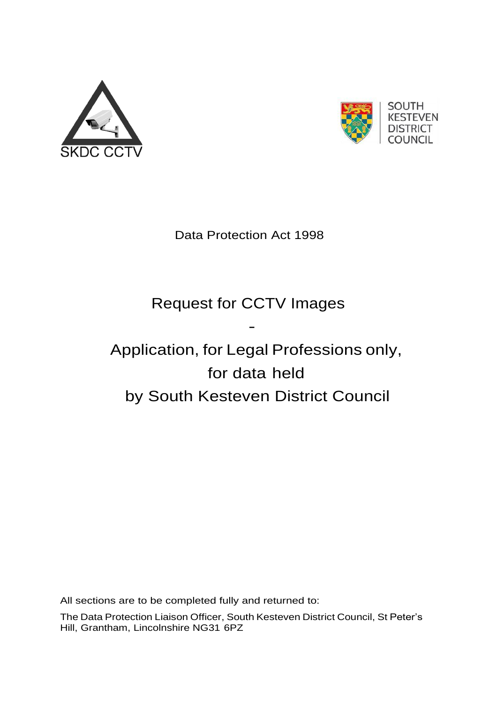



Data Protection Act 1998

## Request for CCTV Images

-

## Application, for Legal Professions only, for data held by South Kesteven District Council

All sections are to be completed fully and returned to:

The Data Protection Liaison Officer, South Kesteven District Council, St Peter's Hill, Grantham, Lincolnshire NG31 6PZ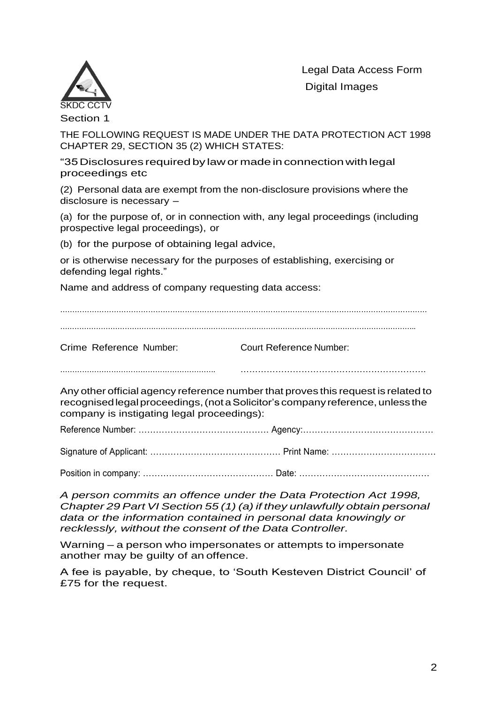



Section 1

THE FOLLOWING REQUEST IS MADE UNDER THE DATA PROTECTION ACT 1998 CHAPTER 29, SECTION 35 (2) WHICH STATES:

"35Disclosures requiredby lawor madeinconnectionwithlegal proceedings etc

(2) Personal data are exempt from the non-disclosure provisions where the disclosure is necessary –

(a) for the purpose of, or in connection with, any legal proceedings (including prospective legal proceedings), or

(b) for the purpose of obtaining legal advice,

or is otherwise necessary for the purposes of establishing, exercising or defending legal rights."

Name and address of company requesting data access:

………………………………………………………………………………………………………………………………….. Crime Reference Number: Court Reference Number: ………………………………………………………. ………………………………………………………. Any other official agency reference numberthat proves this request is related to recognised legal proceedings, (not a Solicitor's company reference, unless the company is instigating legal proceedings): Reference Number: ……………………………………… Agency:……………………………………… Signature of Applicant: ……………………………………… Print Name: ……………………………… Position in company: ……………………………………… Date: ………………………………………

*A person commits an offence under the Data Protection Act 1998, Chapter 29 Part VI Section 55 (1) (a) if they unlawfully obtain personal data or the information contained in personal data knowingly or recklessly, without the consent of the Data Controller.*

Warning – a person who impersonates or attempts to impersonate another may be guilty of an offence.

A fee is payable, by cheque, to 'South Kesteven District Council' of £75 for the request.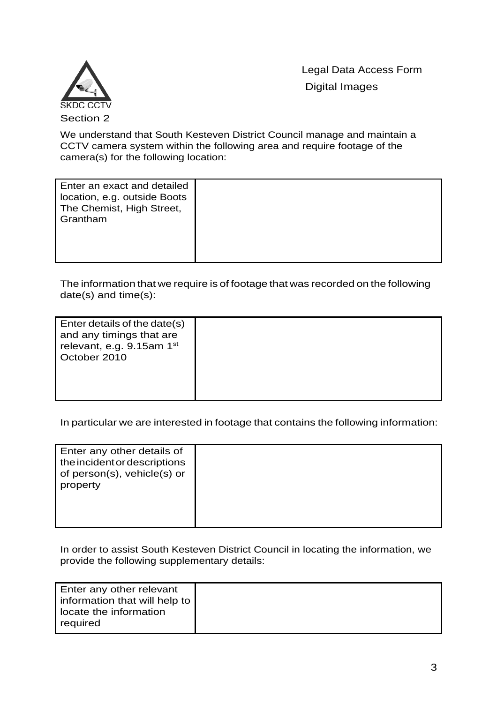Legal Data Access Form Digital Images



We understand that South Kesteven District Council manage and maintain a CCTV camera system within the following area and require footage of the camera(s) for the following location:

| Enter an exact and detailed<br>location, e.g. outside Boots<br>The Chemist, High Street,<br>Grantham |  |
|------------------------------------------------------------------------------------------------------|--|
|                                                                                                      |  |

The information that we require is of footage that was recorded on the following date(s) and time(s):

| Enter details of the date(s)<br>and any timings that are<br>relevant, e.g. 9.15am 1st<br>October 2010 |  |
|-------------------------------------------------------------------------------------------------------|--|
|                                                                                                       |  |

In particular we are interested in footage that contains the following information:

| Enter any other details of<br>the incident or descriptions<br>of person(s), vehicle(s) or<br>property |  |
|-------------------------------------------------------------------------------------------------------|--|
|                                                                                                       |  |

In order to assist South Kesteven District Council in locating the information, we provide the following supplementary details:

| Enter any other relevant<br>information that will help to |  |
|-----------------------------------------------------------|--|
| locate the information<br>required                        |  |